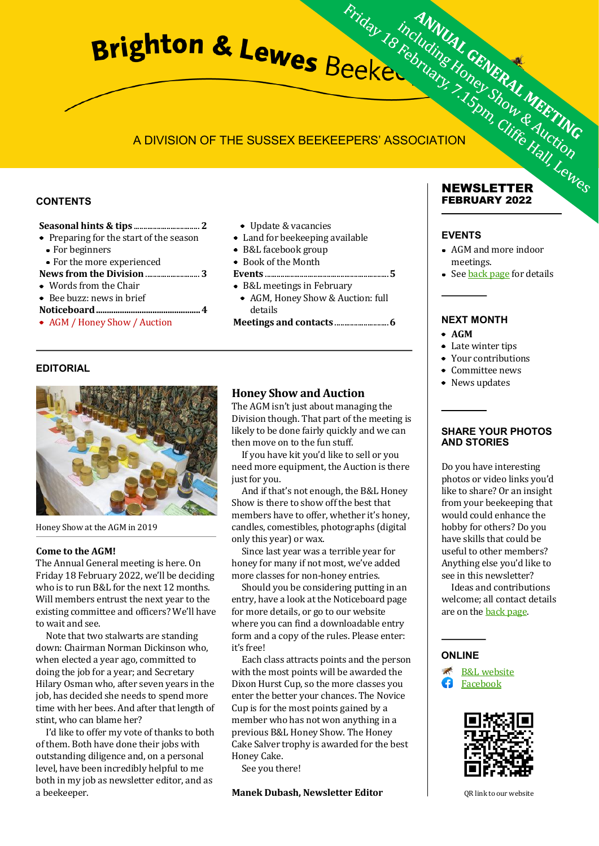# A DIVISION OF THE SUSSEX BEEKEEPERS' ASSOCIATION

#### **CONTENTS**

#### **Seasonal hints & tips** .................................. **2**

- Preparing for the start of the season
	- For beginners
- For the more experienced

#### **News from the Division** ............................ **3**

- Words from the Chair
- Bee buzz: news in brief
- **Noticeboard................................................4**
- AGM / Honey Show / Auction
- Update & vacancies
- Land for beekeeping available
- B&L facebook group
- Book of the Month

#### **Events** ................................................................**5**

- B&L meetings in February
- AGM, Honey Show & Auction: full details

**Meetings and contacts** ............................**6**

# **EDITORIAL**



Honey Show at the AGM in 2019

#### **Come to the AGM!**

The Annual General meeting is here. On Friday 18 February 2022, we'll be deciding who is to run B&L for the next 12 months. Will members entrust the next year to the existing committee and officers? We'll have to wait and see.

Note that two stalwarts are standing down: Chairman Norman Dickinson who, when elected a year ago, committed to doing the job for a year; and Secretary Hilary Osman who, after seven years in the job, has decided she needs to spend more time with her bees. And after that length of stint, who can blame her?

I'd like to offer my vote of thanks to both of them. Both have done their jobs with outstanding diligence and, on a personal level, have been incredibly helpful to me both in my job as newsletter editor, and as a beekeeper.

# **Honey Show and Auction**

The AGM isn't just about managing the Division though. That part of the meeting is likely to be done fairly quickly and we can then move on to the fun stuff.

If you have kit you'd like to sell or you need more equipment, the Auction is there just for you.

And if that's not enough, the B&L Honey Show is there to show off the best that members have to offer, whether it's honey, candles, comestibles, photographs (digital only this year) or wax.

Since last year was a terrible year for honey for many if not most, we've added more classes for non-honey entries.

Should you be considering putting in an entry, have a look at the Noticeboard page for more details, or go to our website where you can find a downloadable entry form and a copy of the rules. Please enter: it's free!

Each class attracts points and the person with the most points will be awarded the Dixon Hurst Cup, so the more classes you enter the better your chances. The Novice Cup is for the most points gained by a member who has not won anything in a previous B&L Honey Show. The Honey Cake Salver trophy is awarded for the best Honey Cake.

See you there!

**Manek Dubash, Newsletter Editor**

#### **NEWSLETTER FEBRUARY 2022**

#### **EVENTS**

- AGM and more indoor meetings.
- See **back page** for details

# **NEXT MONTH**

- **AGM**
- Late winter tips
- Your contributions
- Committee news
- News updates

#### **SHARE YOUR PHOTOS AND STORIES**

Do you have interesting photos or video links you'd like to share? Or an insight from your beekeeping that would could enhance the hobby for others? Do you have skills that could be useful to other members? Anything else you'd like to see in this newsletter?

Ideas and contributions welcome; all contact details are on the [back page.](#page-5-0)

# **ONLINE**





QR link to our website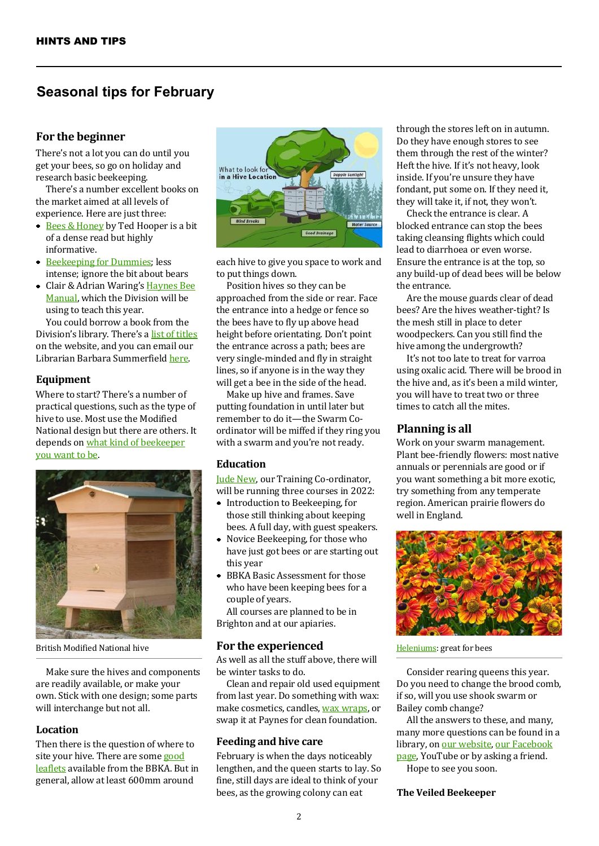# **Seasonal tips for February**

# **For the beginner**

There's not a lot you can do until you get your bees, so go on holiday and research basic beekeeping.

There's a number excellent books on the market aimed at all levels of experience. Here are just three:

- $\bullet$  Bees & Honey by Ted Hooper is a bit of a dense read but highly informative.
- Beekeeping for Dummies; less intense; ignore the bit about bears
- Clair & Adrian Waring's **Haynes Bee** Manual, which the Division will be using to teach this year.

You could borrow a book from the Division's library. There's a list of titles on the website, and you can email our Librarian Barbara Summerfield here.

# **Equipment**

Where to start? There's a number of practical questions, such as the type of hive to use. Most use the Modified National design but there are others. It depends on what kind of beekeeper you want to be.



Make sure the hives and components are readily available, or make your own. Stick with one design; some parts will interchange but not all.

# **Location**

Then there is the question of where to site your hive. There are some good leaflets available from the BBKA. But in general, allow at least 600mm around



each hive to give you space to work and to put things down.

Position hives so they can be approached from the side or rear. Face the entrance into a hedge or fence so the bees have to fly up above head height before orientating. Don't point the entrance across a path; bees are very single-minded and fly in straight lines, so if anyone is in the way they will get a bee in the side of the head.

Make up hive and frames. Save putting foundation in until later but remember to do it—the Swarm Coordinator will be miffed if they ring you with a swarm and you're not ready.

#### **Education**

Jude New, our Training Co-ordinator, will be running three courses in 2022:

- Introduction to Beekeeping, for those still thinking about keeping bees. A full day, with guest speakers.
- Novice Beekeeping, for those who have just got bees or are starting out this year
- BBKA Basic Assessment for those who have been keeping bees for a couple of years.

All courses are planned to be in Brighton and at our apiaries.

# British Modified National hive **For the experienced** For **Heleniums**: great for bees

As well as all the stuff above, there will be winter tasks to do.

Clean and repair old used equipment from last year. Do something with wax: make cosmetics, candles, wax wraps, or swap it at Paynes for clean foundation.

#### **Feeding and hive care**

February is when the days noticeably lengthen, and the queen starts to lay. So fine, still days are ideal to think of your bees, as the growing colony can eat

through the stores left on in autumn. Do they have enough stores to see them through the rest of the winter? Heft the hive. If it's not heavy, look inside. If you're unsure they have fondant, put some on. If they need it, they will take it, if not, they won't.

Check the entrance is clear. A blocked entrance can stop the bees taking cleansing flights which could lead to diarrhoea or even worse. Ensure the entrance is at the top, so any build-up of dead bees will be below the entrance.

Are the mouse guards clear of dead bees? Are the hives weather-tight? Is the mesh still in place to deter woodpeckers. Can you still find the hive among the undergrowth?

It's not too late to treat for varroa using oxalic acid. There will be brood in the hive and, as it's been a mild winter, you will have to treat two or three times to catch all the mites.

# **Planning is all**

Work on your swarm management. Plant bee-friendly flowers: most native annuals or perennials are good or if you want something a bit more exotic, try something from any temperate region. American prairie flowers do well in England.



Consider rearing queens this year. Do you need to change the brood comb, if so, will you use shook swarm or Bailey comb change?

All the answers to these, and many, many more questions can be found in a library, on our website, our Facebook page, YouTube or by asking a friend.

Hope to see you soon.

#### **The Veiled Beekeeper**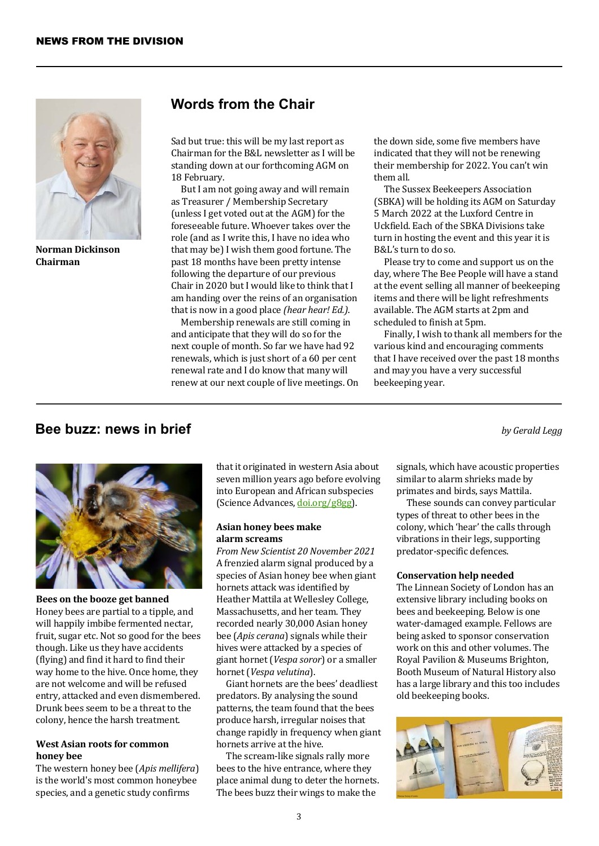

**Norman Dickinson Chairman**

# **Words from the Chair**

Sad but true: this will be my last report as Chairman for the B&L newsletter as I will be standing down at our forthcoming AGM on 18 February.

But I am not going away and will remain as Treasurer / Membership Secretary (unless I get voted out at the AGM) for the foreseeable future. Whoever takes over the role (and as I write this, I have no idea who that may be) I wish them good fortune. The past 18 months have been pretty intense following the departure of our previous Chair in 2020 but I would like to think that I am handing over the reins of an organisation that is now in a good place *(hear hear! Ed.)*.

Membership renewals are still coming in and anticipate that they will do so for the next couple of month. So far we have had 92 renewals, which is just short of a 60 per cent renewal rate and I do know that many will renew at our next couple of live meetings. On the down side, some five members have indicated that they will not be renewing their membership for 2022. You can't win them all.

The Sussex Beekeepers Association (SBKA) will be holding its AGM on Saturday 5 March 2022 at the Luxford Centre in Uckfield. Each of the SBKA Divisions take turn in hosting the event and this year it is B&L's turn to do so.

Please try to come and support us on the day, where The Bee People will have a stand at the event selling all manner of beekeeping items and there will be light refreshments available. The AGM starts at 2pm and scheduled to finish at 5pm.

Finally, I wish to thank all members for the various kind and encouraging comments that I have received over the past 18 months and may you have a very successful beekeeping year.

*by Gerald Legg*

# **Bee buzz: news in brief**



**Bees on the booze get banned** Honey bees are partial to a tipple, and will happily imbibe fermented nectar, fruit, sugar etc. Not so good for the bees though. Like us they have accidents (flying) and find it hard to find their way home to the hive. Once home, they are not welcome and will be refused entry, attacked and even dismembered. Drunk bees seem to be a threat to the colony, hence the harsh treatment.

#### **West Asian roots for common honey bee**

The western honey bee (*Apis mellifera*) is the world's most common honeybee species, and a genetic study confirms

that it originated in western Asia about seven million years ago before evolving into European and African subspecies (Science Advances, doi.org/g8gg).

#### **Asian honey bees make alarm screams**

*From New Scientist 20 November 2021* A frenzied alarm signal produced by a species of Asian honey bee when giant hornets attack was identified by Heather Mattila at Wellesley College, Massachusetts, and her team. They recorded nearly 30,000 Asian honey bee (*Apis cerana*) signals while their hives were attacked by a species of giant hornet (*Vespa soror*) or a smaller hornet (*Vespa velutina*).

Giant hornets are the bees' deadliest predators. By analysing the sound patterns, the team found that the bees produce harsh, irregular noises that change rapidly in frequency when giant hornets arrive at the hive.

The scream-like signals rally more bees to the hive entrance, where they place animal dung to deter the hornets. The bees buzz their wings to make the

signals, which have acoustic properties similar to alarm shrieks made by primates and birds, says Mattila.

These sounds can convey particular types of threat to other bees in the colony, which 'hear' the calls through vibrations in their legs, supporting predator-specific defences.

#### **Conservation help needed**

The Linnean Society of London has an extensive library including books on bees and beekeeping. Below is one water-damaged example. Fellows are being asked to sponsor conservation work on this and other volumes. The Royal Pavilion & Museums Brighton, Booth Museum of Natural History also has a large library and this too includes old beekeeping books.

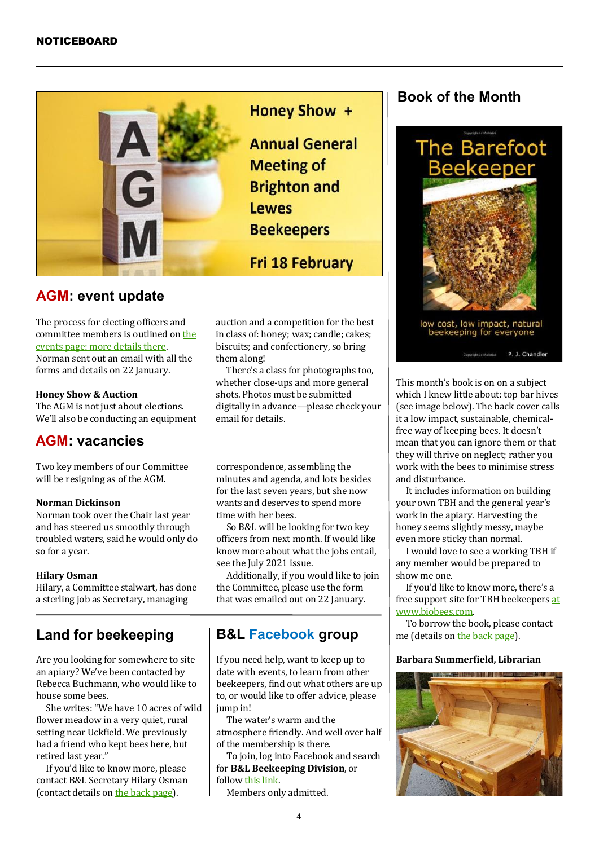

# **AGM: event update**

The process for electing officers and committee members is outlined on the [events page: more details there.](#page-4-0) Norman sent out an email with all the forms and details on 22 January.

#### **Honey Show & Auction**

The AGM is not just about elections. We'll also be conducting an equipment

# **AGM: vacancies**

Two key members of our Committee will be resigning as of the AGM.

# **Norman Dickinson**

Norman took over the Chair last year and has steered us smoothly through troubled waters, said he would only do so for a year.

#### **Hilary Osman**

Hilary, a Committee stalwart, has done a sterling job as Secretary, managing

# **Land for beekeeping**

an apiary? We've been contacted by Rebecca Buchmann, who would like to house some bees.

She writes: "We have 10 acres of wild flower meadow in a very quiet, rural setting near Uckfield. We previously had a friend who kept bees here, but retired last year."

If you'd like to know more, please contact B&L Secretary Hilary Osman (contact details on [the back page\)](#page-5-0).

**Honey Show +** 

**Annual General Meeting of Brighton and Lewes Beekeepers** 

**Fri 18 February** 

auction and a competition for the best in class of: honey; wax; candle; cakes; biscuits; and confectionery, so bring them along!

There's a class for photographs too, whether close-ups and more general shots. Photos must be submitted digitally in advance—please check your email for details.

correspondence, assembling the minutes and agenda, and lots besides for the last seven years, but she now wants and deserves to spend more time with her bees.

So B&L will be looking for two key officers from next month. If would like know more about what the jobs entail, see the July 2021 issue.

Additionally, if you would like to join the Committee, please use the form that was emailed out on 22 January.

# **B&L Facebook group**

If you need help, want to keep up to date with events, to learn from other beekeepers, find out what others are up to, or would like to offer advice, please jump in! Are you looking for somewhere to site  $\parallel$  If you need help, want to keep up to **Barbara Summerfield, Librarian** 

The water's warm and the atmosphere friendly. And well over half of the membership is there.

To join, log into Facebook and search for **B&L Beekeeping Division**, or follow this link.

Members only admitted.

# **Book of the Month**



This month's book is on on a subject which I knew little about: top bar hives (see image below). The back cover calls it a low impact, sustainable, chemicalfree way of keeping bees. It doesn't mean that you can ignore them or that they will thrive on neglect; rather you work with the bees to minimise stress and disturbance.

It includes information on building your own TBH and the general year's work in the apiary. Harvesting the honey seems slightly messy, maybe even more sticky than normal.

I would love to see a working TBH if any member would be prepared to show me one.

If you'd like to know more, there's a free support site for TBH beekeepers at www.biobees.com.

To borrow the book, please contact me (details on [the back page\)](#page-5-0).

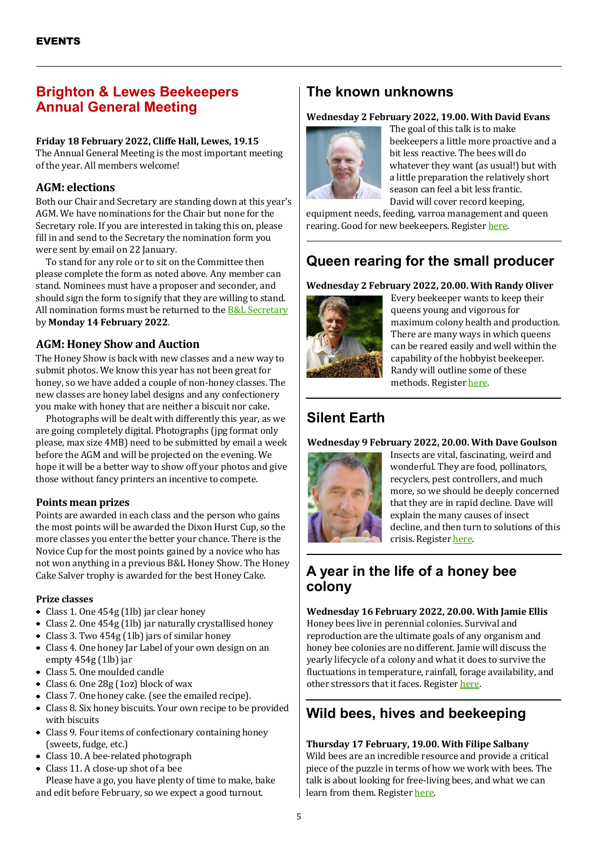# <span id="page-4-0"></span>**Brighton & Lewes Beekeepers Annual General Meeting**

# **Friday 18 February 2022, Cliffe Hall, Lewes, 19.15**

The Annual General Meeting is the most important meeting of the year. All members welcome!

# **AGM: elections**

Both our Chair and Secretary are standing down at this year's AGM. We have nominations for the Chair but none for the Secretary role. If you are interested in taking this on, please fill in and send to the Secretary the nomination form you were sent by email on 22 January.

To stand for any role or to sit on the Committee then please complete the form as noted above. Any member can stand. Nominees must have a proposer and seconder, and should sign the form to signify that they are willing to stand. All nomination forms must be returned to the **B&L Secretary** by **Monday 14 February 2022**.

# **AGM: Honey Show and Auction**

The Honey Show is back with new classes and a new way to submit photos. We know this year has not been great for honey, so we have added a couple of non-honey classes. The new classes are honey label designs and any confectionery you make with honey that are neither a biscuit nor cake.

Photographs will be dealt with differently this year, as we are going completely digital. Photographs (jpg format only please, max size 4MB) need to be submitted by email a week before the AGM and will be projected on the evening. We hope it will be a better way to show off your photos and give those without fancy printers an incentive to compete.

# **Points mean prizes**

Points are awarded in each class and the person who gains the most points will be awarded the Dixon Hurst Cup, so the more classes you enter the better your chance. There is the Novice Cup for the most points gained by a novice who has not won anything in a previous B&L Honey Show. The Honey Cake Salver trophy is awarded for the best Honey Cake.

# **Prize classes**

- Class 1. One 454g (1lb) jar clear honey
- Class 2. One 454g (1lb) jar naturally crystallised honey
- Class 3. Two 454g (1lb) jars of similar honey
- Class 4. One honey Jar Label of your own design on an empty 454g (1lb) jar
- Class 5. One moulded candle
- Class 6. One 28g (1oz) block of wax
- Class 7. One honey cake. (see the emailed recipe).
- Class 8. Six honey biscuits. Your own recipe to be provided with biscuits
- Class 9. Four items of confectionary containing honey (sweets, fudge, etc.)
- Class 10. A bee-related photograph
- Class 11. A close-up shot of a bee

Please have a go, you have plenty of time to make, bake and edit before February, so we expect a good turnout.

# **The known unknowns**

# **Wednesday 2 February 2022, 19.00. With David Evans**



The goal of this talk is to make beekeepers a little more proactive and a bit less reactive. The bees will do whatever they want (as usual!) but with a little preparation the relatively short season can feel a bit less frantic. David will cover record keeping,

equipment needs, feeding, varroa management and queen rearing. Good for new beekeepers. Register here.

# **Queen rearing for the small producer**

# **Wednesday 2 February 2022, 20.00. With Randy Oliver**



Every beekeeper wants to keep their queens young and vigorous for maximum colony health and production. There are many ways in which queens can be reared easily and well within the capability of the hobbyist beekeeper. Randy will outline some of these methods. Register here.

# **Silent Earth**

# **Wednesday 9 February 2022, 20.00. With Dave Goulson**



Insects are vital, fascinating, weird and wonderful. They are food, pollinators, recyclers, pest controllers, and much more, so we should be deeply concerned that they are in rapid decline. Dave will explain the many causes of insect decline, and then turn to solutions of this crisis. Register here.

# **A year in the life of a honey bee colony**

**Wednesday 16 February 2022, 20.00. With Jamie Ellis** Honey bees live in perennial colonies. Survival and reproduction are the ultimate goals of any organism and honey bee colonies are no different. Jamie will discuss the yearly lifecycle of a colony and what it does to survive the fluctuations in temperature, rainfall, forage availability, and other stressors that it faces. Register here.

# **Wild bees, hives and beekeeping**

# **Thursday 17 February, 19.00. With Filipe Salbany** Wild bees are an incredible resource and provide a critical piece of the puzzle in terms of how we work with bees. The talk is about looking for free-living bees, and what we can learn from them. Register here.